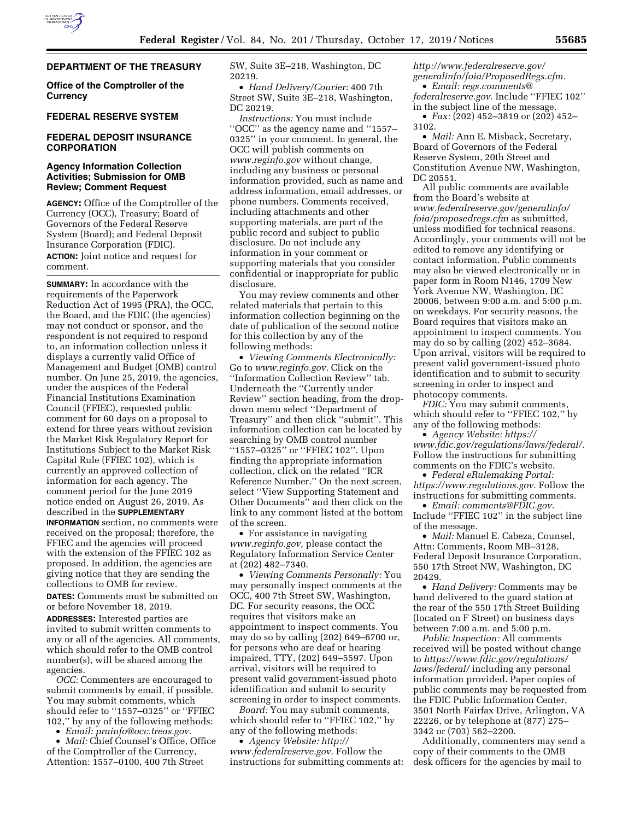

# **DEPARTMENT OF THE TREASURY**

**Office of the Comptroller of the Currency** 

### **FEDERAL RESERVE SYSTEM**

## **FEDERAL DEPOSIT INSURANCE CORPORATION**

## **Agency Information Collection Activities; Submission for OMB Review; Comment Request**

**AGENCY:** Office of the Comptroller of the Currency (OCC), Treasury; Board of Governors of the Federal Reserve System (Board); and Federal Deposit Insurance Corporation (FDIC). **ACTION:** Joint notice and request for comment.

**SUMMARY:** In accordance with the requirements of the Paperwork Reduction Act of 1995 (PRA), the OCC, the Board, and the FDIC (the agencies) may not conduct or sponsor, and the respondent is not required to respond to, an information collection unless it displays a currently valid Office of Management and Budget (OMB) control number. On June 25, 2019, the agencies, under the auspices of the Federal Financial Institutions Examination Council (FFIEC), requested public comment for 60 days on a proposal to extend for three years without revision the Market Risk Regulatory Report for Institutions Subject to the Market Risk Capital Rule (FFIEC 102), which is currently an approved collection of information for each agency. The comment period for the June 2019 notice ended on August 26, 2019. As described in the **SUPPLEMENTARY**

**INFORMATION** section, no comments were received on the proposal; therefore, the FFIEC and the agencies will proceed with the extension of the FFIEC 102 as proposed. In addition, the agencies are giving notice that they are sending the collections to OMB for review.

**DATES:** Comments must be submitted on or before November 18, 2019.

**ADDRESSES:** Interested parties are invited to submit written comments to any or all of the agencies. All comments, which should refer to the OMB control number(s), will be shared among the agencies.

*OCC:* Commenters are encouraged to submit comments by email, if possible. You may submit comments, which should refer to ''1557–0325'' or ''FFIEC 102,'' by any of the following methods:

• *Email: [prainfo@occ.treas.gov.](mailto:prainfo@occ.treas.gov)* 

• *Mail:* Chief Counsel's Office, Office of the Comptroller of the Currency, Attention: 1557–0100, 400 7th Street

SW, Suite 3E–218, Washington, DC 20219.

• *Hand Delivery/Courier:* 400 7th Street SW, Suite 3E–218, Washington, DC 20219.

*Instructions:* You must include ''OCC'' as the agency name and ''1557– 0325'' in your comment. In general, the OCC will publish comments on *[www.reginfo.gov](http://www.reginfo.gov)* without change, including any business or personal information provided, such as name and address information, email addresses, or phone numbers. Comments received, including attachments and other supporting materials, are part of the public record and subject to public disclosure. Do not include any information in your comment or supporting materials that you consider confidential or inappropriate for public disclosure.

You may review comments and other related materials that pertain to this information collection beginning on the date of publication of the second notice for this collection by any of the following methods:

• *Viewing Comments Electronically:*  Go to *[www.reginfo.gov.](http://www.reginfo.gov)* Click on the ''Information Collection Review'' tab. Underneath the ''Currently under Review'' section heading, from the dropdown menu select ''Department of Treasury'' and then click ''submit''. This information collection can be located by searching by OMB control number ''1557–0325'' or ''FFIEC 102''. Upon finding the appropriate information collection, click on the related ''ICR Reference Number.'' On the next screen, select ''View Supporting Statement and Other Documents'' and then click on the link to any comment listed at the bottom of the screen.

• For assistance in navigating *[www.reginfo.gov,](http://www.reginfo.gov)* please contact the Regulatory Information Service Center at (202) 482–7340.

• *Viewing Comments Personally:* You may personally inspect comments at the OCC, 400 7th Street SW, Washington, DC. For security reasons, the OCC requires that visitors make an appointment to inspect comments. You may do so by calling (202) 649–6700 or, for persons who are deaf or hearing impaired, TTY, (202) 649–5597. Upon arrival, visitors will be required to present valid government-issued photo identification and submit to security screening in order to inspect comments.

*Board:* You may submit comments, which should refer to "FFIEC 102," by any of the following methods:

• *Agency Website: [http://](http://www.federalreserve.gov) [www.federalreserve.gov.](http://www.federalreserve.gov)* Follow the instructions for submitting comments at: *[http://www.federalreserve.gov/](http://www.federalreserve.gov/generalinfo/foia/ProposedRegs.cfm)  [generalinfo/foia/ProposedRegs.cfm.](http://www.federalreserve.gov/generalinfo/foia/ProposedRegs.cfm)*  • *Email: [regs.comments@](mailto:regs.comments@federalreserve.gov) [federalreserve.gov.](mailto:regs.comments@federalreserve.gov)* Include ''FFIEC 102'' in the subject line of the message.

• *Fax:* (202) 452–3819 or (202) 452– 3102.

• *Mail:* Ann E. Misback, Secretary, Board of Governors of the Federal Reserve System, 20th Street and Constitution Avenue NW, Washington, DC 20551.

All public comments are available from the Board's website at *[www.federalreserve.gov/generalinfo/](http://www.federalreserve.gov/generalinfo/foia/proposedregs.cfm) [foia/proposedregs.cfm](http://www.federalreserve.gov/generalinfo/foia/proposedregs.cfm)* as submitted, unless modified for technical reasons. Accordingly, your comments will not be edited to remove any identifying or contact information. Public comments may also be viewed electronically or in paper form in Room N146, 1709 New York Avenue NW, Washington, DC 20006, between 9:00 a.m. and 5:00 p.m. on weekdays. For security reasons, the Board requires that visitors make an appointment to inspect comments. You may do so by calling (202) 452–3684. Upon arrival, visitors will be required to present valid government-issued photo identification and to submit to security screening in order to inspect and photocopy comments.

*FDIC:* You may submit comments, which should refer to "FFIEC 102," by any of the following methods:

• *Agency Website: [https://](https://www.fdic.gov/regulations/laws/federal/) [www.fdic.gov/regulations/laws/federal/.](https://www.fdic.gov/regulations/laws/federal/)*  Follow the instructions for submitting comments on the FDIC's website.

• *Federal eRulemaking Portal: [https://www.regulations.gov.](https://www.regulations.gov)* Follow the instructions for submitting comments.

• *Email: [comments@FDIC.gov.](mailto:comments@FDIC.gov)*  Include ''FFIEC 102'' in the subject line of the message.

• *Mail:* Manuel E. Cabeza, Counsel, Attn: Comments, Room MB–3128, Federal Deposit Insurance Corporation, 550 17th Street NW, Washington, DC 20429.

• *Hand Delivery:* Comments may be hand delivered to the guard station at the rear of the 550 17th Street Building (located on F Street) on business days between 7:00 a.m. and 5:00 p.m.

*Public Inspection:* All comments received will be posted without change to *[https://www.fdic.gov/regulations/](https://www.fdic.gov/regulations/laws/federal/)  [laws/federal/](https://www.fdic.gov/regulations/laws/federal/)* including any personal information provided. Paper copies of public comments may be requested from the FDIC Public Information Center, 3501 North Fairfax Drive, Arlington, VA 22226, or by telephone at (877) 275– 3342 or (703) 562–2200.

Additionally, commenters may send a copy of their comments to the OMB desk officers for the agencies by mail to